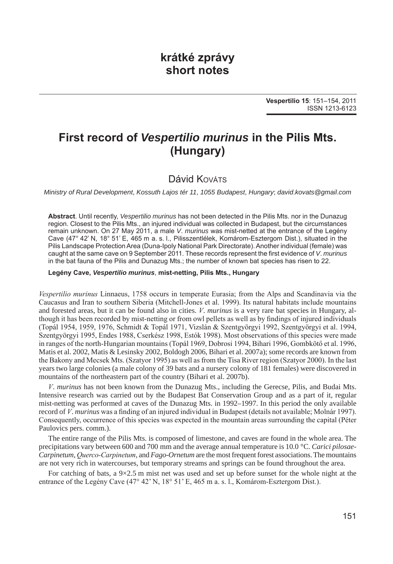## **krátké zprávy short notes**

# **First record of** *Vespertilio murinus* **in the Pilis Mts. (Hungary)**

## Dávid Kováts

*Ministry of Rural Development*, *Kossuth Lajos tér 11*, *1055 Budapest*, *Hungary*; *david*.*kovats@gmail*.*com*

**Abstract**. Until recently, *Vespertilio murinus* has not been detected in the Pilis Mts. nor in the Dunazug region. Closest to the Pilis Mts., an injured individual was collected in Budapest, but the circumstances remain unknown. On 27 May 2011, a male *V*. *murinus* was mist-netted at the entrance of the Legény Cave (47° 42' N, 18° 51' E, 465 m a. s. l., Pilisszentlélek, Komárom-Esztergom Dist.), situated in the Pilis Landscape Protection Area (Duna-Ipoly National Park Directorate). Another individual (female) was caught at the same cave on 9 September 2011. These records represent the first evidence of *V*. *murinus* in the bat fauna of the Pilis and Dunazug Mts.; the number of known bat species has risen to 22.

#### **Legény Cave,** *Vespertilio murinus*, **mist-netting, Pilis Mts., Hungary**

*Vespertilio murinus* Linnaeus, 1758 occurs in temperate Eurasia; from the Alps and Scandinavia via the Caucasus and Iran to southern Siberia (Mitchell-Jones et al. 1999). Its natural habitats include mountains and forested areas, but it can be found also in cities. *V*. *murinus* is a very rare bat species in Hungary, although it has been recorded by mist-netting or from owl pellets as well as by findings of injured individuals (Topál 1954, 1959, 1976, Schmidt & Topál 1971, Vizslán & Szentgyörgyi 1992, Szentgyörgyi et al. 1994, Szentgyörgyi 1995, Endes 1988, Cserkész 1998, Estók 1998). Most observations of this species were made in ranges of the north-Hungarian mountains (Topál 1969, Dobrosi 1994, Bihari 1996, Gombkötő et al. 1996, Matis et al. 2002, Matis & Lesinsky 2002, Boldogh 2006, Bihari et al. 2007a); some records are known from the Bakony and Mecsek Mts. (Szatyor 1995) as well as from the Tisa River region (Szatyor 2000). In the last years two large colonies (a male colony of 39 bats and a nursery colony of 181 females) were discovered in mountains of the northeastern part of the country (Bihari et al. 2007b).

*V*. *murinus* has not been known from the Dunazug Mts., including the Gerecse, Pilis, and Budai Mts. Intensive research was carried out by the Budapest Bat Conservation Group and as a part of it, regular mist-netting was performed at caves of the Dunazug Mts. in 1992–1997. In this period the only available record of *V*. *murinus* was a finding of an injured individual in Budapest (details not available; Molnár 1997). Consequently, occurrence of this species was expected in the mountain areas surrounding the capital (Péter Paulovics pers. comm.).

The entire range of the Pilis Mts. is composed of limestone, and caves are found in the whole area. The precipitations vary between 600 and 700 mm and the average annual temperature is 10.0 °C. *Carici pilosae-Carpinetum*, *Querco-Carpinetum*, and *Fago-Ornetum* are the most frequent forest associations. The mountains are not very rich in watercourses, but temporary streams and springs can be found throughout the area.

For catching of bats, a 9×2.5 m mist net was used and set up before sunset for the whole night at the entrance of the Legény Cave (47° 42' N, 18° 51' E, 465 m a. s. l., Komárom-Esztergom Dist.).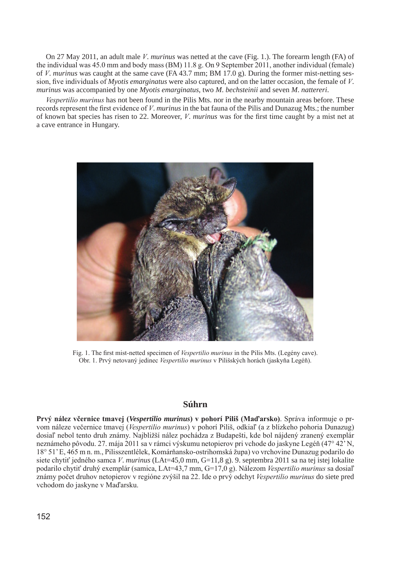On 27 May 2011, an adult male *V*. *murinus* was netted at the cave (Fig. 1.). The forearm length (FA) of the individual was 45.0 mm and body mass (BM) 11.8 g. On 9 September 2011, another individual (female) of *V*. *murinus* was caught at the same cave (FA 43.7 mm; BM 17.0 g). During the former mist-netting session, five individuals of *Myotis emarginatus* were also captured, and on the latter occasion, the female of *V*. *murinus* was accompanied by one *Myotis emarginatus*, two *M*. *bechsteinii* and seven *M*. *nattereri*.

*Vespertilio murinus* has not been found in the Pilis Mts. nor in the nearby mountain areas before. These records represent the first evidence of *V*. *murinus* in the bat fauna of the Pilis and Dunazug Mts.; the number of known bat species has risen to 22. Moreover, *V*. *murinus* was for the first time caught by a mist net at a cave entrance in Hungary.



Fig. 1. The first mist-netted specimen of *Vespertilio murinus* in the Pilis Mts. (Legény cave). Obr. 1. Prvý netovaný jedinec *Vespertilio murinus* v Pilišských horách (jaskyňa Legéň).

### **Súhrn**

**Prvý nález včernice tmavej (***Vespertilio murinus***) v pohorí Piliš (Maďarsko)**. Správa informuje o prvom náleze večernice tmavej (*Vespertilio murinus*) v pohorí Piliš, odkiaľ (a z blízkeho pohoria Dunazug) dosiaľ nebol tento druh známy. Najbližší nález pochádza z Budapešti, kde bol nájdený zranený exemplár neznámeho pôvodu. 27. mája 2011 sa v rámci výskumu netopierov pri vchode do jaskyne Legéň (47° 42' N, 18° 51' E, 465 m n. m., Pilisszentlélek, Komárňansko-ostrihomská župa) vo vrchovine Dunazug podarilo do siete chytiť jedného samca *V*. *murinus* (LAt=45,0 mm, G=11,8 g). 9. septembra 2011 sa na tej istej lokalite podarilo chytiť druhý exemplár (samica, LAt=43,7 mm, G=17,0 g). Nálezom *Vespertilio murinus* sa dosiaľ známy počet druhov netopierov v regióne zvýšil na 22. Ide o prvý odchyt *Vespertilio murinus* do siete pred vchodom do jaskyne v Maďarsku.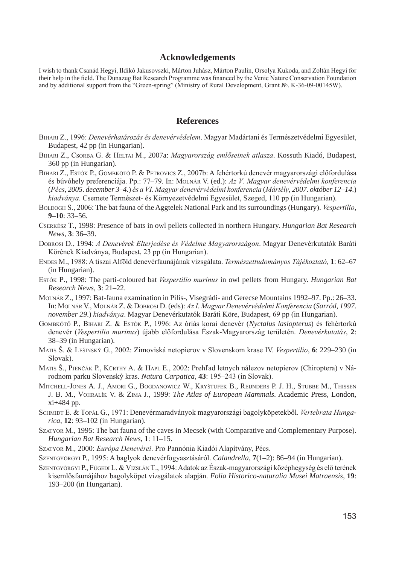#### **Acknowledgements**

I wish to thank Csanád Hegyi, Ildikó Jakusovszki, Márton Juhász, Márton Paulin, Orsolya Kukoda, and Zoltán Hegyi for their help in the field. The Dunazug Bat Research Programme was financed by the Venic Nature Conservation Foundation and by additional support from the "Green-spring" (Ministry of Rural Development, Grant №. K-36-09-00145W).

### **References**

- bihARi z., 1996: *Denevérhatározás és denevérvédelem*. Magyar Madártani és Természetvédelmi Egyesület, Budapest, 42 pp (in Hungarian).
- bihARi z., csoRbA g. & heltAi M., 2007a: *Magyarország emlőseinek atlasza*. Kossuth Kiadó, Budapest, 360 pp (in Hungarian).
- BIHARI Z., Estók P., GOMBKÖTŐ P. & PETROVICS Z., 2007b: A fehértorkú denevér magyarországi előfordulása és búvóhely preferenciája. Pp.: 77–79. In: MolnáR V. (ed.): *Az V*. *Magyar denevérvédelmi konferencia*  (*Pécs*, *2005*. *december 3*–*4*.) *és a VI*. *Magyar denevérvédelmi konferencia* (*Mártély*, *2007*. *október 12*–*14*.) *kiadványa*. Csemete Természet- és Környezetvédelmi Egyesület, Szeged, 110 pp (in Hungarian).
- boldogh s., 2006: The bat fauna of the Aggtelek National Park and its surroundings (Hungary). *Vespertilio*, **9–10**: 33–56.
- cseRKész t., 1998: Presence of bats in owl pellets collected in northern Hungary. *Hungarian Bat Research News*, **3**: 36–39.
- dobRosi d., 1994: *A Denevérek Elterjedése és Védelme Magyarországon*. Magyar Denevérkutatók Baráti Körének Kiadványa, Budapest, 23 pp (in Hungarian).
- endes M., 1988: A tiszai Alföld denevérfaunájának vizsgálata. *Természettudományos Tájékoztató*, **1**: 62–67 (in Hungarian).
- estóK P., 1998: The parti-coloured bat *Vespertilio murinus* in owl pellets from Hungary. *Hungarian Bat Research News*, **3**: 21–22.
- MolnáR z., 1997: Bat-fauna examination in Pilis-, Visegrádi- and Gerecse Mountains 1992–97. Pp.: 26–33. In: MOLNÁR V., MOLNÁR Z. & DOBROSI D. (eds): *Az I. Magyar Denevérvédelmi Konferencia* (*Sarród, 1997*. *november 29*.) *kiadványa*. Magyar Denevérkutatók Baráti Köre, Budapest, 69 pp (in Hungarian).
- gombkötő P., bihARi z. & estóK P., 1996: Az óriás korai denevér (*Nyctalus lasiopterus*) és fehértorkú denevér (*Vespertilio murinus*) újabb előfordulása Észak-Magyarország területén. *Denevérkutatás*, **2**: 38–39 (in Hungarian).
- MAtis Š. & leŠinsKý g., 2002: Zimoviská netopierov v Slovenskom krase IV. *Vespertilio*, **6**: 229–230 (in Slovak).
- MATIS Š., PJENČÁK P., KÜRTHY A. & HAPL E., 2002: Prehľad letnych nálezov netopierov (Chiroptera) v Národnom parku Slovenský kras. *Natura Carpatica*, **43**: 195–243 (in Slovak).
- MITCHELL-JONES A. J., AMORI G., BOGDANOWICZ W., KRYŠTUFEK B., REIJNDERS P. J. H., STUBBE M., THISSEN J. B. M., vohralík V. & ziMA J., 1999: *The Atlas of European Mammals*. Academic Press, London, xi+484 pp.
- SCHMIDT E. & TOPÁL G., 1971: Denevérmaradványok magyarországi bagolyköpetekből. Vertebrata Hunga*rica*, **12**: 93–102 (in Hungarian).
- SZATYOR M., 1995: The bat fauna of the caves in Mecsek (with Comparative and Complementary Purpose). *Hungarian Bat Research News*, **1**: 11–15.
- SzATYOR M., 2000: *Európa Denevérei*. Pro Pannónia Kiadói Alapítvány, Pécs.
- szentgYöRgYi P., 1995: A baglyok denevérfogyasztásáról. *Calandrella*, **7**(1–2): 86–94 (in Hungarian).
- SZENTGYÖRGYI P., FÜGEDI L. & VIZSLÁN T., 1994: Adatok az Észak-magyarországi középhegység és elő terének kisemlősfaunájához bagolyköpet vizsgálatok alapján. *Folia Historico-naturalia Musei Matraensis*, **19**: 193–200 (in Hungarian).